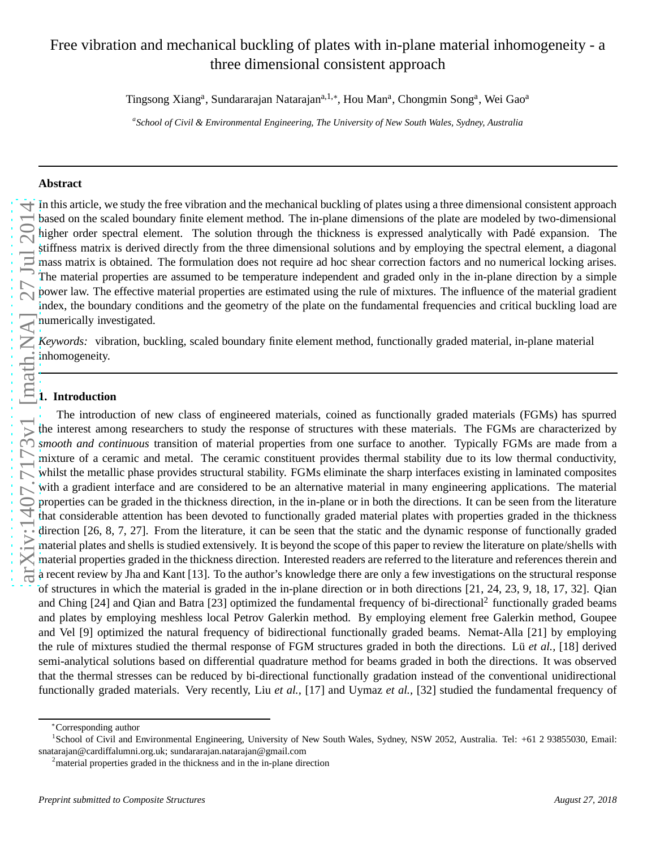# Free vibration and mechanical buckling of plates with in-plane material inhomogeneity - a three dimensional consistent approach

Tingsong Xiang<sup>a</sup>, Sundararajan Natarajan<sup>a,1,\*</sup>, Hou Man<sup>a</sup>, Chongmin Song<sup>a</sup>, Wei Gao<sup>a</sup>

*a School of Civil & Environmental Engineering, The University of New South Wales, Sydney, Australia*

#### **Abstract**

 $\leftrightarrow$  In this article, we study the free vibration and the mechanical buckling of plates using a three dimensional consistent approach based on the scaled boundary finite element method. The in-plane dimensions of the plate are modeled by two-dimensional higher order spectral element. The solution through the thickness is expressed analytically with Padé expansion. The stiffness matrix is derived directly from the three dimensional solutions and by employing the spectral element, a diagonal mass matrix is obtained. The formulation does not require ad hoc shear correction factors and no numerical locking arises. The material properties are assumed to be temperature independent and graded only in the in-plane direction by a simple power law. The effective material properties are estimated using the rule of mixtures. The influence of the material gradient index, the boundary conditions and the geometry of the plate on the fundamental frequencies and critical buckling load are numerically investigated.

*Keywords:* vibration, buckling, scaled boundary finite element method, functionally graded material, in-plane material inhomogeneity.

## **1. Introduction**

The introduction of new class of engineered materials, coined as functionally graded materials (FGMs) has spurred the interest among researchers to study the response of structures with these materials. The FGMs are characterized by  $\circ$  *smooth and continuous* transition of material properties from one surface to another. Typically FGMs are made from a mixture of a ceramic and metal. The ceramic constituent provides thermal stability due to its low thermal conductivity, whilst the metallic phase provides structural stability. FGMs eliminate the sharp interfaces existing in laminated composites with a gradient interface and are considered to be an alternative material in many engineering applications. The material properties can be graded in the thickness direction, in the in-plane or in both the directions. It can be seen from the literature that considerable attention has been devoted to functionally graded material plates with properties graded in the thickness direction [26, 8, 7, 27]. From the literature, it can be seen that the static and the dynamic response of functionally graded material plates and shells is studied extensively. It is beyond the scope of this paper to review the literature on plate/shells with material properties graded in the thickness direction. Interested readers are referred to the literature and references therein and a recent review by Jha and Kant [13]. To the author's knowledge there are only a few investigations on the structural response of structures in which the material is graded in the in-plane direction or in both directions [21, 24, 23, 9, 18, 17, 32]. Qian and Ching [24] and Qian and Batra [23] optimized the fundamental frequency of bi-directional<sup>2</sup> functionally graded beams and plates by employing meshless local Petrov Galerkin method. By employing element free Galerkin method, Goupee and Vel [9] optimized the natural frequency of bidirectional functionally graded beams. Nemat-Alla [21] by employing the rule of mixtures studied the thermal response of FGM structures graded in both the directions. Lü *et al.*, [18] derived semi-analytical solutions based on differential quadrature method for beams graded in both the directions. It was observed that the thermal stresses can be reduced by bi-directional functionally gradation instead of the conventional unidirectional functionally graded materials. Very recently, Liu *et al.,* [17] and Uymaz *et al.,* [32] studied the fundamental frequency of

<sup>∗</sup>Corresponding author

<sup>&</sup>lt;sup>1</sup>School of Civil and Environmental Engineering, University of New South Wales, Sydney, NSW 2052, Australia. Tel: +61 2 93855030, Email: snatarajan@cardiffalumni.org.uk; sundararajan.natarajan@gmail.com

<sup>&</sup>lt;sup>2</sup>material properties graded in the thickness and in the in-plane direction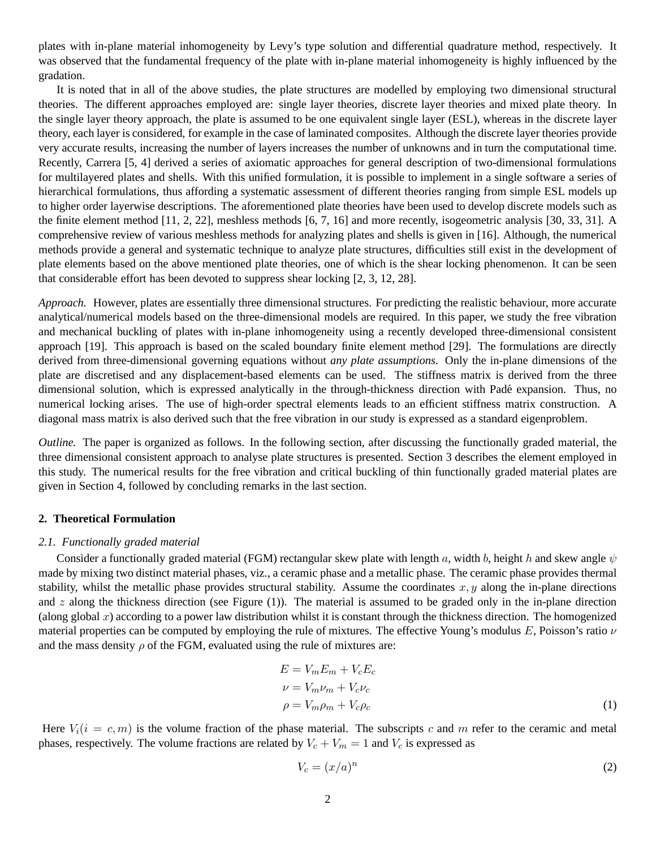plates with in-plane material inhomogeneity by Levy's type solution and differential quadrature method, respectively. It was observed that the fundamental frequency of the plate with in-plane material inhomogeneity is highly influenced by the gradation.

It is noted that in all of the above studies, the plate structures are modelled by employing two dimensional structural theories. The different approaches employed are: single layer theories, discrete layer theories and mixed plate theory. In the single layer theory approach, the plate is assumed to be one equivalent single layer (ESL), whereas in the discrete layer theory, each layer is considered, for example in the case of laminated composites. Although the discrete layer theories provide very accurate results, increasing the number of layers increases the number of unknowns and in turn the computational time. Recently, Carrera [5, 4] derived a series of axiomatic approaches for general description of two-dimensional formulations for multilayered plates and shells. With this unified formulation, it is possible to implement in a single software a series of hierarchical formulations, thus affording a systematic assessment of different theories ranging from simple ESL models up to higher order layerwise descriptions. The aforementioned plate theories have been used to develop discrete models such as the finite element method [11, 2, 22], meshless methods [6, 7, 16] and more recently, isogeometric analysis [30, 33, 31]. A comprehensive review of various meshless methods for analyzing plates and shells is given in [16]. Although, the numerical methods provide a general and systematic technique to analyze plate structures, difficulties still exist in the development of plate elements based on the above mentioned plate theories, one of which is the shear locking phenomenon. It can be seen that considerable effort has been devoted to suppress shear locking [2, 3, 12, 28].

*Approach.* However, plates are essentially three dimensional structures. For predicting the realistic behaviour, more accurate analytical/numerical models based on the three-dimensional models are required. In this paper, we study the free vibration and mechanical buckling of plates with in-plane inhomogeneity using a recently developed three-dimensional consistent approach [19]. This approach is based on the scaled boundary finite element method [29]. The formulations are directly derived from three-dimensional governing equations without *any plate assumptions*. Only the in-plane dimensions of the plate are discretised and any displacement-based elements can be used. The stiffness matrix is derived from the three dimensional solution, which is expressed analytically in the through-thickness direction with Padé expansion. Thus, no numerical locking arises. The use of high-order spectral elements leads to an efficient stiffness matrix construction. A diagonal mass matrix is also derived such that the free vibration in our study is expressed as a standard eigenproblem.

*Outline.* The paper is organized as follows. In the following section, after discussing the functionally graded material, the three dimensional consistent approach to analyse plate structures is presented. Section 3 describes the element employed in this study. The numerical results for the free vibration and critical buckling of thin functionally graded material plates are given in Section 4, followed by concluding remarks in the last section.

## **2. Theoretical Formulation**

#### *2.1. Functionally graded material*

Consider a functionally graded material (FGM) rectangular skew plate with length a, width b, height h and skew angle  $\psi$ made by mixing two distinct material phases, viz., a ceramic phase and a metallic phase. The ceramic phase provides thermal stability, whilst the metallic phase provides structural stability. Assume the coordinates  $x, y$  along the in-plane directions and z along the thickness direction (see Figure  $(1)$ ). The material is assumed to be graded only in the in-plane direction (along global x) according to a power law distribution whilst it is constant through the thickness direction. The homogenized material properties can be computed by employing the rule of mixtures. The effective Young's modulus  $E$ , Poisson's ratio  $\nu$ and the mass density  $\rho$  of the FGM, evaluated using the rule of mixtures are:

$$
E = V_m E_m + V_c E_c
$$
  
\n
$$
\nu = V_m \nu_m + V_c \nu_c
$$
  
\n
$$
\rho = V_m \rho_m + V_c \rho_c
$$
 (1)

Here  $V_i(i = c, m)$  is the volume fraction of the phase material. The subscripts c and m refer to the ceramic and metal phases, respectively. The volume fractions are related by  $V_c + V_m = 1$  and  $V_c$  is expressed as

$$
V_c = (x/a)^n \tag{2}
$$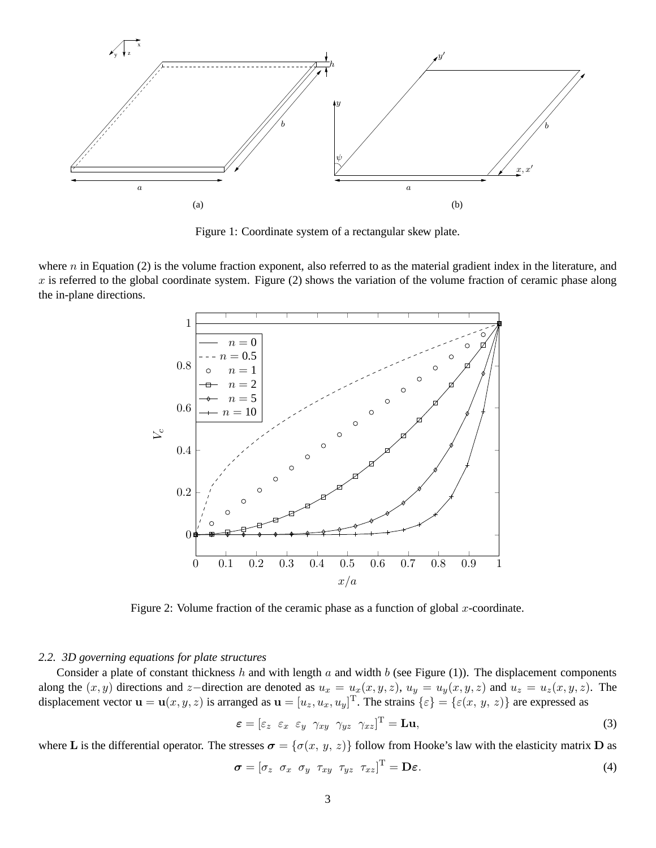

Figure 1: Coordinate system of a rectangular skew plate.

where  $n$  in Equation (2) is the volume fraction exponent, also referred to as the material gradient index in the literature, and  $x$  is referred to the global coordinate system. Figure (2) shows the variation of the volume fraction of ceramic phase along the in-plane directions.



Figure 2: Volume fraction of the ceramic phase as a function of global  $x$ -coordinate.

#### *2.2. 3D governing equations for plate structures*

Consider a plate of constant thickness h and with length  $a$  and width  $b$  (see Figure (1)). The displacement components along the  $(x, y)$  directions and z-direction are denoted as  $u_x = u_x(x, y, z)$ ,  $u_y = u_y(x, y, z)$  and  $u_z = u_z(x, y, z)$ . The displacement vector  $\mathbf{u} = \mathbf{u}(x, y, z)$  is arranged as  $\mathbf{u} = [u_z, u_x, u_y]^T$ . The strains  $\{\varepsilon\} = \{\varepsilon(x, y, z)\}$  are expressed as

$$
\boldsymbol{\varepsilon} = [\varepsilon_z \ \varepsilon_x \ \varepsilon_y \ \gamma_{xy} \ \gamma_{yz} \ \gamma_{xz}]^{\mathrm{T}} = \mathbf{L}\mathbf{u},\tag{3}
$$

where L is the differential operator. The stresses  $\sigma = \{\sigma(x, y, z)\}\$ follow from Hooke's law with the elasticity matrix D as

$$
\boldsymbol{\sigma} = [\sigma_z \ \sigma_x \ \sigma_y \ \tau_{xy} \ \tau_{yz} \ \tau_{xz}]^{\mathrm{T}} = \mathbf{D}\boldsymbol{\varepsilon}.
$$
 (4)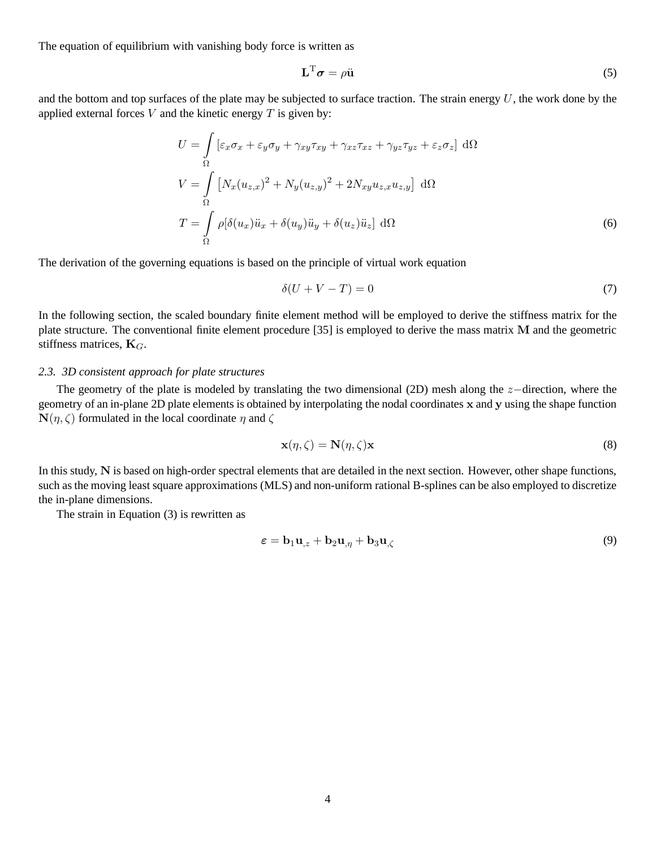The equation of equilibrium with vanishing body force is written as

$$
\mathbf{L}^{\mathrm{T}}\boldsymbol{\sigma} = \rho \ddot{\mathbf{u}} \tag{5}
$$

and the bottom and top surfaces of the plate may be subjected to surface traction. The strain energy  $U$ , the work done by the applied external forces  $V$  and the kinetic energy  $T$  is given by:

$$
U = \int_{\Omega} \left[ \varepsilon_x \sigma_x + \varepsilon_y \sigma_y + \gamma_{xy} \tau_{xy} + \gamma_{xz} \tau_{xz} + \gamma_{yz} \tau_{yz} + \varepsilon_z \sigma_z \right] d\Omega
$$
  
\n
$$
V = \int_{\Omega} \left[ N_x (u_{z,x})^2 + N_y (u_{z,y})^2 + 2N_{xy} u_{z,x} u_{z,y} \right] d\Omega
$$
  
\n
$$
T = \int_{\Omega} \rho [\delta(u_x) \ddot{u}_x + \delta(u_y) \ddot{u}_y + \delta(u_z) \ddot{u}_z] d\Omega
$$
 (6)

The derivation of the governing equations is based on the principle of virtual work equation

$$
\delta(U + V - T) = 0\tag{7}
$$

In the following section, the scaled boundary finite element method will be employed to derive the stiffness matrix for the plate structure. The conventional finite element procedure [35] is employed to derive the mass matrix M and the geometric stiffness matrices,  $K_G$ .

## *2.3. 3D consistent approach for plate structures*

The geometry of the plate is modeled by translating the two dimensional (2D) mesh along the z–direction, where the geometry of an in-plane 2D plate elements is obtained by interpolating the nodal coordinates x and y using the shape function  $\mathbf{N}(\eta, \zeta)$  formulated in the local coordinate  $\eta$  and  $\zeta$ 

$$
\mathbf{x}(\eta,\zeta) = \mathbf{N}(\eta,\zeta)\mathbf{x} \tag{8}
$$

In this study, N is based on high-order spectral elements that are detailed in the next section. However, other shape functions, such as the moving least square approximations (MLS) and non-uniform rational B-splines can be also employed to discretize the in-plane dimensions.

The strain in Equation (3) is rewritten as

$$
\varepsilon = \mathbf{b}_1 \mathbf{u}_{,z} + \mathbf{b}_2 \mathbf{u}_{,\eta} + \mathbf{b}_3 \mathbf{u}_{,\zeta} \tag{9}
$$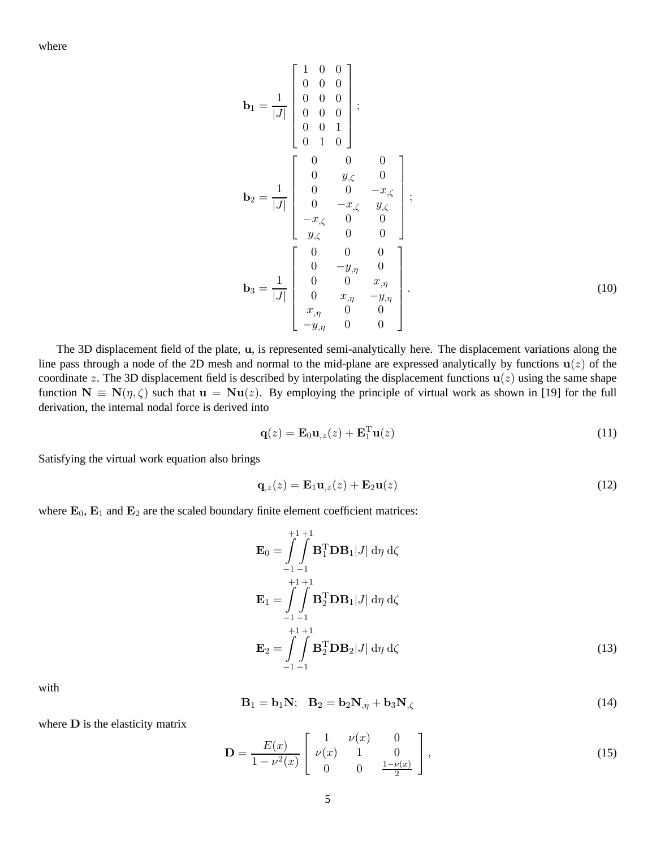where

$$
\mathbf{b}_{1} = \frac{1}{|J|} \begin{bmatrix} 1 & 0 & 0 \\ 0 & 0 & 0 \\ 0 & 0 & 0 \\ 0 & 0 & 1 \\ 0 & 1 & 0 \end{bmatrix};
$$
  
\n
$$
\mathbf{b}_{2} = \frac{1}{|J|} \begin{bmatrix} 0 & 0 & 0 \\ 0 & y_{,\zeta} & 0 \\ 0 & 0 & -x_{,\zeta} \\ 0 & -x_{,\zeta} & y_{,\zeta} \\ -x_{,\zeta} & 0 & 0 \\ y_{,\zeta} & 0 & 0 \end{bmatrix};
$$
  
\n
$$
\mathbf{b}_{3} = \frac{1}{|J|} \begin{bmatrix} 0 & 0 & 0 \\ 0 & -y_{,\eta} & 0 \\ 0 & -y_{,\eta} & 0 \\ 0 & 0 & x_{,\eta} \\ 0 & x_{,\eta} & -y_{,\eta} \\ -y_{,\eta} & 0 & 0 \end{bmatrix}.
$$
(10)

The 3D displacement field of the plate, u, is represented semi-analytically here. The displacement variations along the line pass through a node of the 2D mesh and normal to the mid-plane are expressed analytically by functions  $u(z)$  of the coordinate z. The 3D displacement field is described by interpolating the displacement functions  $u(z)$  using the same shape function  $N \equiv N(\eta, \zeta)$  such that  $u = Nu(z)$ . By employing the principle of virtual work as shown in [19] for the full derivation, the internal nodal force is derived into

$$
\mathbf{q}(z) = \mathbf{E}_0 \mathbf{u}_{,z}(z) + \mathbf{E}_1^{\mathrm{T}} \mathbf{u}(z)
$$
\n(11)

Satisfying the virtual work equation also brings

$$
\mathbf{q}_{,z}(z) = \mathbf{E}_1 \mathbf{u}_{,z}(z) + \mathbf{E}_2 \mathbf{u}(z) \tag{12}
$$

where  $\mathbf{E}_0$ ,  $\mathbf{E}_1$  and  $\mathbf{E}_2$  are the scaled boundary finite element coefficient matrices:

$$
\mathbf{E}_0 = \int_{-1}^{+1} \int_{-1}^{+1} \mathbf{B}_1^{\mathrm{T}} \mathbf{D} \mathbf{B}_1 |J| \, d\eta \, d\zeta
$$

$$
\mathbf{E}_1 = \int_{-1}^{+1} \int_{-1}^{+1} \mathbf{B}_2^{\mathrm{T}} \mathbf{D} \mathbf{B}_1 |J| \, d\eta \, d\zeta
$$

$$
\mathbf{E}_2 = \int_{-1}^{+1} \int_{-1}^{+1} \mathbf{B}_2^{\mathrm{T}} \mathbf{D} \mathbf{B}_2 |J| \, d\eta \, d\zeta
$$
(13)

with

$$
\mathbf{B}_1 = \mathbf{b}_1 \mathbf{N}; \quad \mathbf{B}_2 = \mathbf{b}_2 \mathbf{N}_{,\eta} + \mathbf{b}_3 \mathbf{N}_{,\zeta}
$$
 (14)

where D is the elasticity matrix

$$
\mathbf{D} = \frac{E(x)}{1 - \nu^2(x)} \begin{bmatrix} 1 & \nu(x) & 0 \\ \nu(x) & 1 & 0 \\ 0 & 0 & \frac{1 - \nu(x)}{2} \end{bmatrix},
$$
(15)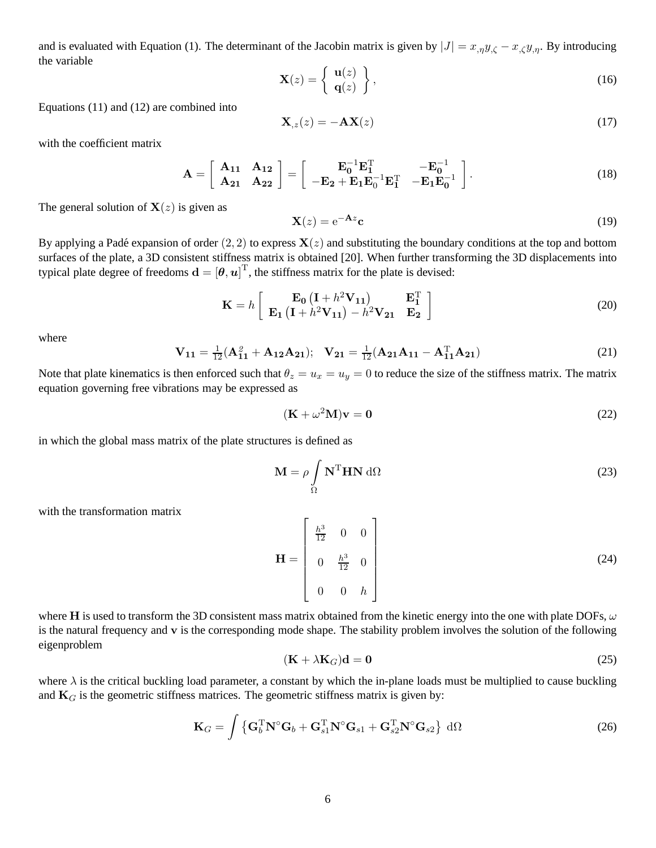and is evaluated with Equation (1). The determinant of the Jacobin matrix is given by  $|J| = x_{,n}y_{,\zeta} - x_{,\zeta}y_{,n}$ . By introducing the variable

$$
\mathbf{X}(z) = \left\{ \begin{array}{c} \mathbf{u}(z) \\ \mathbf{q}(z) \end{array} \right\},\tag{16}
$$

Equations (11) and (12) are combined into

$$
\mathbf{X}_{,z}(z) = -\mathbf{A}\mathbf{X}(z) \tag{17}
$$

with the coefficient matrix

$$
\mathbf{A} = \begin{bmatrix} \mathbf{A}_{11} & \mathbf{A}_{12} \\ \mathbf{A}_{21} & \mathbf{A}_{22} \end{bmatrix} = \begin{bmatrix} \mathbf{E}_0^{-1} \mathbf{E}_1^{\mathrm{T}} & -\mathbf{E}_0^{-1} \\ -\mathbf{E}_2 + \mathbf{E}_1 \mathbf{E}_0^{-1} \mathbf{E}_1^{\mathrm{T}} & -\mathbf{E}_1 \mathbf{E}_0^{-1} \end{bmatrix}.
$$
 (18)

The general solution of  $X(z)$  is given as

$$
\mathbf{X}(z) = e^{-\mathbf{A}z}\mathbf{c}
$$
 (19)

By applying a Padé expansion of order  $(2, 2)$  to express  $\mathbf{X}(z)$  and substituting the boundary conditions at the top and bottom surfaces of the plate, a 3D consistent stiffness matrix is obtained [20]. When further transforming the 3D displacements into typical plate degree of freedoms  $\mathbf{d} = [\theta, \boldsymbol{u}]^\mathrm{T}$ , the stiffness matrix for the plate is devised:

$$
\mathbf{K} = h \begin{bmatrix} \mathbf{E_0} \left( \mathbf{I} + h^2 \mathbf{V_{11}} \right) & \mathbf{E_1}^{\mathrm{T}} \\ \mathbf{E_1} \left( \mathbf{I} + h^2 \mathbf{V_{11}} \right) - h^2 \mathbf{V_{21}} & \mathbf{E_2} \end{bmatrix}
$$
(20)

where

$$
V_{11} = \frac{1}{12}(A_{11}^2 + A_{12}A_{21}); \quad V_{21} = \frac{1}{12}(A_{21}A_{11} - A_{11}^T A_{21})
$$
\n(21)

Note that plate kinematics is then enforced such that  $\theta_z = u_x = u_y = 0$  to reduce the size of the stiffness matrix. The matrix equation governing free vibrations may be expressed as

$$
(\mathbf{K} + \omega^2 \mathbf{M})\mathbf{v} = \mathbf{0}
$$
 (22)

in which the global mass matrix of the plate structures is defined as

$$
\mathbf{M} = \rho \int_{\Omega} \mathbf{N}^{\mathrm{T}} \mathbf{H} \mathbf{N} \, \mathrm{d}\Omega \tag{23}
$$

with the transformation matrix

$$
\mathbf{H} = \begin{bmatrix} \frac{h^3}{12} & 0 & 0 \\ 0 & \frac{h^3}{12} & 0 \\ 0 & 0 & h \end{bmatrix}
$$
 (24)

where H is used to transform the 3D consistent mass matrix obtained from the kinetic energy into the one with plate DOFs,  $\omega$ is the natural frequency and v is the corresponding mode shape. The stability problem involves the solution of the following eigenproblem

$$
(\mathbf{K} + \lambda \mathbf{K}_G)\mathbf{d} = \mathbf{0}
$$
\n(25)

where  $\lambda$  is the critical buckling load parameter, a constant by which the in-plane loads must be multiplied to cause buckling and  $\mathbf{K}_G$  is the geometric stiffness matrices. The geometric stiffness matrix is given by:

$$
\mathbf{K}_G = \int \left\{ \mathbf{G}_b^{\mathrm{T}} \mathbf{N}^{\circ} \mathbf{G}_b + \mathbf{G}_{s1}^{\mathrm{T}} \mathbf{N}^{\circ} \mathbf{G}_{s1} + \mathbf{G}_{s2}^{\mathrm{T}} \mathbf{N}^{\circ} \mathbf{G}_{s2} \right\} d\Omega
$$
 (26)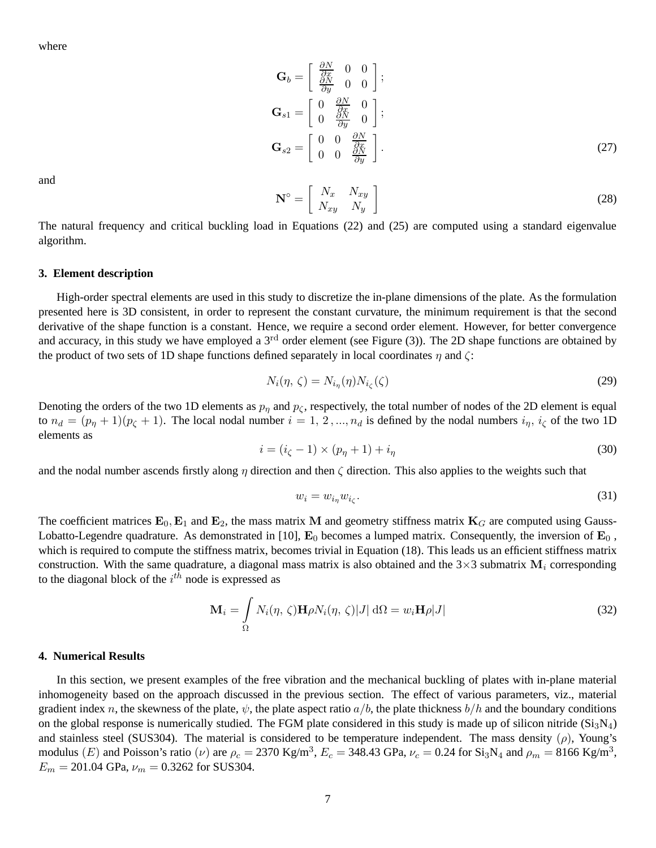where

$$
\mathbf{G}_{b} = \begin{bmatrix} \frac{\partial N}{\partial x} & 0 & 0\\ \frac{\partial N}{\partial y} & 0 & 0 \end{bmatrix};
$$
  
\n
$$
\mathbf{G}_{s1} = \begin{bmatrix} 0 & \frac{\partial N}{\partial x} & 0\\ 0 & \frac{\partial N}{\partial y} & 0 \end{bmatrix};
$$
  
\n
$$
\mathbf{G}_{s2} = \begin{bmatrix} 0 & 0 & \frac{\partial N}{\partial x} \\ 0 & 0 & \frac{\partial N}{\partial y} \end{bmatrix}.
$$
 (27)

and

$$
\mathbf{N}^{\circ} = \left[ \begin{array}{cc} N_x & N_{xy} \\ N_{xy} & N_y \end{array} \right] \tag{28}
$$

The natural frequency and critical buckling load in Equations (22) and (25) are computed using a standard eigenvalue algorithm.

#### **3. Element description**

High-order spectral elements are used in this study to discretize the in-plane dimensions of the plate. As the formulation presented here is 3D consistent, in order to represent the constant curvature, the minimum requirement is that the second derivative of the shape function is a constant. Hence, we require a second order element. However, for better convergence and accuracy, in this study we have employed a  $3<sup>rd</sup>$  order element (see Figure (3)). The 2D shape functions are obtained by the product of two sets of 1D shape functions defined separately in local coordinates  $\eta$  and  $\zeta$ :

$$
N_i(\eta, \zeta) = N_{i_{\eta}}(\eta) N_{i_{\zeta}}(\zeta)
$$
\n(29)

Denoting the orders of the two 1D elements as  $p<sub>\eta</sub>$  and  $p<sub>\zeta</sub>$ , respectively, the total number of nodes of the 2D element is equal to  $n_d = (p_\eta + 1)(p_\zeta + 1)$ . The local nodal number  $i = 1, 2, ..., n_d$  is defined by the nodal numbers  $i_\eta$ ,  $i_\zeta$  of the two 1D elements as

$$
i = (i\zeta - 1) \times (p\eta + 1) + i\eta
$$
\n(30)

and the nodal number ascends firstly along  $\eta$  direction and then  $\zeta$  direction. This also applies to the weights such that

$$
w_i = w_{i_\eta} w_{i_\zeta}.\tag{31}
$$

The coefficient matrices  $\mathbf{E}_0$ ,  $\mathbf{E}_1$  and  $\mathbf{E}_2$ , the mass matrix M and geometry stiffness matrix  $\mathbf{K}_G$  are computed using Gauss-Lobatto-Legendre quadrature. As demonstrated in [10],  $\mathbf{E}_0$  becomes a lumped matrix. Consequently, the inversion of  $\mathbf{E}_0$ , which is required to compute the stiffness matrix, becomes trivial in Equation (18). This leads us an efficient stiffness matrix construction. With the same quadrature, a diagonal mass matrix is also obtained and the  $3\times3$  submatrix  $M_i$  corresponding to the diagonal block of the  $i^{th}$  node is expressed as

$$
\mathbf{M}_{i} = \int_{\Omega} N_{i}(\eta, \zeta) \mathbf{H} \rho N_{i}(\eta, \zeta) |J| d\Omega = w_{i} \mathbf{H} \rho |J|
$$
\n(32)

#### **4. Numerical Results**

In this section, we present examples of the free vibration and the mechanical buckling of plates with in-plane material inhomogeneity based on the approach discussed in the previous section. The effect of various parameters, viz., material gradient index n, the skewness of the plate,  $\psi$ , the plate aspect ratio  $a/b$ , the plate thickness  $b/h$  and the boundary conditions on the global response is numerically studied. The FGM plate considered in this study is made up of silicon nitride  $(Si_3N_4)$ and stainless steel (SUS304). The material is considered to be temperature independent. The mass density  $(\rho)$ , Young's modulus (E) and Poisson's ratio ( $\nu$ ) are  $\rho_c = 2370 \text{ Kg/m}^3$ ,  $E_c = 348.43 \text{ GPa}$ ,  $\nu_c = 0.24$  for  $\text{Si}_3\text{N}_4$  and  $\rho_m = 8166 \text{ Kg/m}^3$ ,  $E_m = 201.04 \text{ GPa}, \nu_m = 0.3262 \text{ for SUS304}.$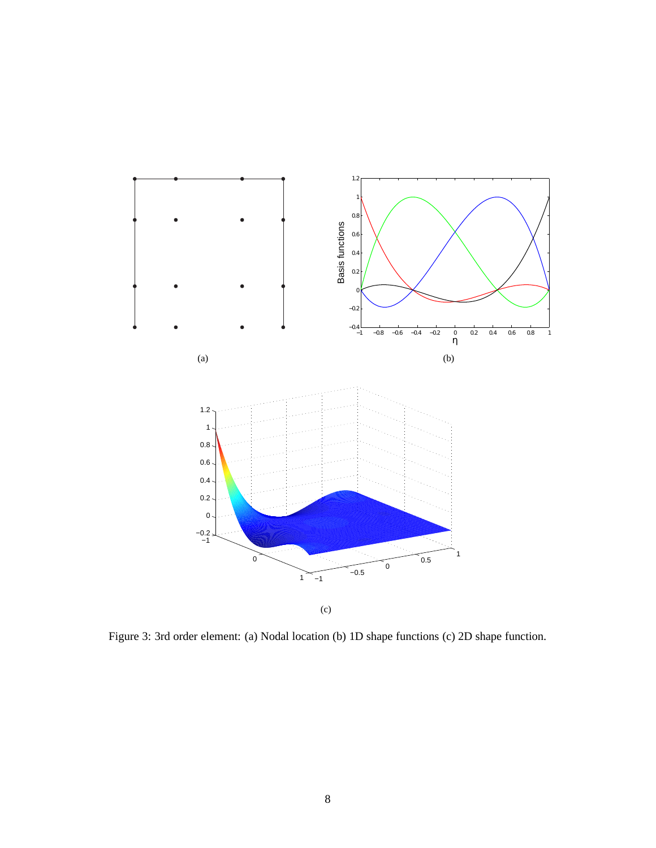

Figure 3: 3rd order element: (a) Nodal location (b) 1D shape functions (c) 2D shape function.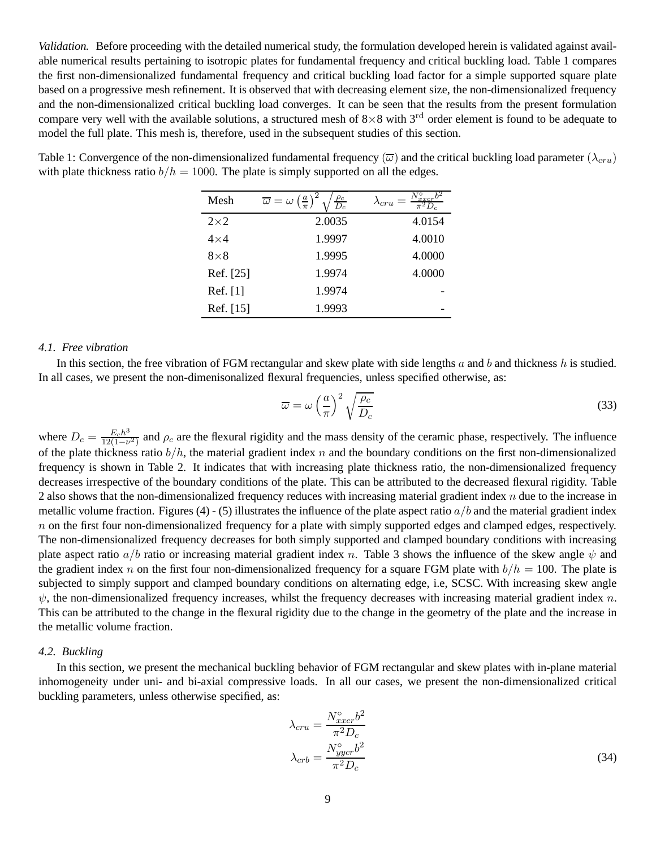*Validation.* Before proceeding with the detailed numerical study, the formulation developed herein is validated against available numerical results pertaining to isotropic plates for fundamental frequency and critical buckling load. Table 1 compares the first non-dimensionalized fundamental frequency and critical buckling load factor for a simple supported square plate based on a progressive mesh refinement. It is observed that with decreasing element size, the non-dimensionalized frequency and the non-dimensionalized critical buckling load converges. It can be seen that the results from the present formulation compare very well with the available solutions, a structured mesh of  $8\times 8$  with 3<sup>rd</sup> order element is found to be adequate to model the full plate. This mesh is, therefore, used in the subsequent studies of this section.

| Mesh       | $\overline{\omega} = \omega\left(\frac{a}{a}\right)$<br>$\frac{\rho_c}{D_c}$ | $\sqrt{\frac{6}{2}}$<br>$\lambda_{cru}$<br>$\pi^2 D_c$ |
|------------|------------------------------------------------------------------------------|--------------------------------------------------------|
| $2\times2$ | 2.0035                                                                       | 4.0154                                                 |
| $4\times4$ | 1.9997                                                                       | 4.0010                                                 |
| $8\times8$ | 1.9995                                                                       | 4.0000                                                 |
| Ref. [25]  | 1.9974                                                                       | 4.0000                                                 |
| Ref. [1]   | 1.9974                                                                       |                                                        |
| Ref. [15]  | 1.9993                                                                       |                                                        |

Table 1: Convergence of the non-dimensionalized fundamental frequency  $(\overline{\omega})$  and the critical buckling load parameter  $(\lambda_{cru})$ with plate thickness ratio  $b/h = 1000$ . The plate is simply supported on all the edges.

#### *4.1. Free vibration*

In this section, the free vibration of FGM rectangular and skew plate with side lengths  $a$  and  $b$  and thickness  $h$  is studied. In all cases, we present the non-dimenisonalized flexural frequencies, unless specified otherwise, as:

$$
\overline{\omega} = \omega \left(\frac{a}{\pi}\right)^2 \sqrt{\frac{\rho_c}{D_c}}
$$
\n(33)

where  $D_c = \frac{E_c h^3}{12(1-\nu)}$  $\frac{E_c h^3}{12(1-\nu^2)}$  and  $\rho_c$  are the flexural rigidity and the mass density of the ceramic phase, respectively. The influence of the plate thickness ratio  $b/h$ , the material gradient index n and the boundary conditions on the first non-dimensionalized frequency is shown in Table 2. It indicates that with increasing plate thickness ratio, the non-dimensionalized frequency decreases irrespective of the boundary conditions of the plate. This can be attributed to the decreased flexural rigidity. Table 2 also shows that the non-dimensionalized frequency reduces with increasing material gradient index  $n$  due to the increase in metallic volume fraction. Figures (4) - (5) illustrates the influence of the plate aspect ratio  $a/b$  and the material gradient index  $n$  on the first four non-dimensionalized frequency for a plate with simply supported edges and clamped edges, respectively. The non-dimensionalized frequency decreases for both simply supported and clamped boundary conditions with increasing plate aspect ratio  $a/b$  ratio or increasing material gradient index n. Table 3 shows the influence of the skew angle  $\psi$  and the gradient index n on the first four non-dimensionalized frequency for a square FGM plate with  $b/h = 100$ . The plate is subjected to simply support and clamped boundary conditions on alternating edge, i.e, SCSC. With increasing skew angle  $\psi$ , the non-dimensionalized frequency increases, whilst the frequency decreases with increasing material gradient index n. This can be attributed to the change in the flexural rigidity due to the change in the geometry of the plate and the increase in the metallic volume fraction.

#### *4.2. Buckling*

In this section, we present the mechanical buckling behavior of FGM rectangular and skew plates with in-plane material inhomogeneity under uni- and bi-axial compressive loads. In all our cases, we present the non-dimensionalized critical buckling parameters, unless otherwise specified, as:

$$
\lambda_{cru} = \frac{N_{xxcr}^{\circ}b^2}{\pi^2 D_c}
$$

$$
\lambda_{crb} = \frac{N_{yycr}^{\circ}b^2}{\pi^2 D_c}
$$
(34)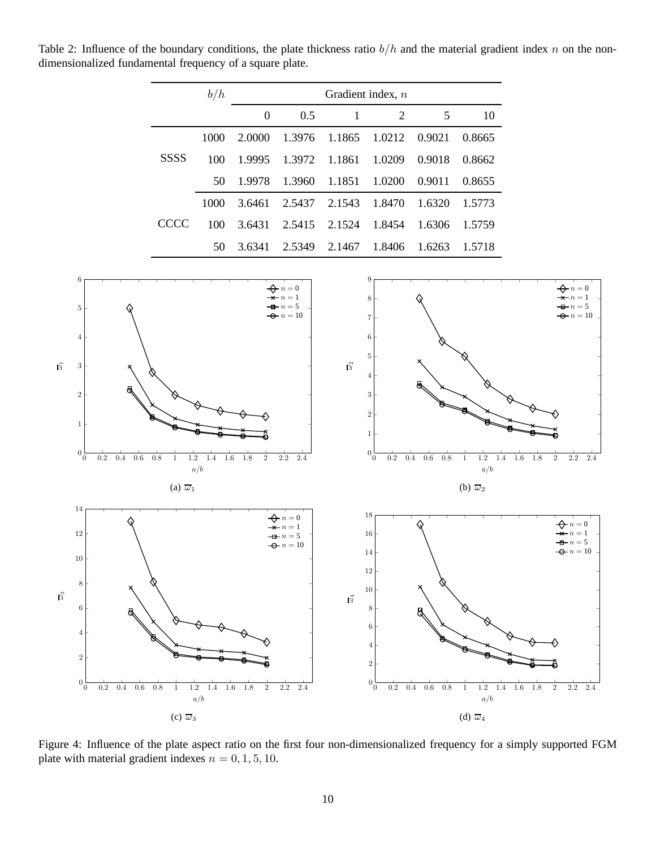Table 2: Influence of the boundary conditions, the plate thickness ratio  $b/h$  and the material gradient index n on the nondimensionalized fundamental frequency of a square plate.

|                       |                                                                                                                                                               |                                                  | b/h                                     |                         |                                                                                                                  |                | Gradient index, n                                                                                                                                  |                                       |                                                             |                   |                                                                                                                                  |
|-----------------------|---------------------------------------------------------------------------------------------------------------------------------------------------------------|--------------------------------------------------|-----------------------------------------|-------------------------|------------------------------------------------------------------------------------------------------------------|----------------|----------------------------------------------------------------------------------------------------------------------------------------------------|---------------------------------------|-------------------------------------------------------------|-------------------|----------------------------------------------------------------------------------------------------------------------------------|
|                       |                                                                                                                                                               |                                                  |                                         | $\boldsymbol{0}$        | 0.5                                                                                                              | $\mathbf{1}$   | $\sqrt{2}$                                                                                                                                         | $\mathfrak{S}$                        | 10                                                          |                   |                                                                                                                                  |
|                       |                                                                                                                                                               |                                                  | 1000                                    | 2.0000                  | 1.3976                                                                                                           | 1.1865         | 1.0212                                                                                                                                             | 0.9021                                | 0.8665                                                      |                   |                                                                                                                                  |
|                       |                                                                                                                                                               | SSSS                                             | 100                                     | 1.9995                  | 1.3972                                                                                                           | 1.1861         | 1.0209                                                                                                                                             | 0.9018                                | 0.8662                                                      |                   |                                                                                                                                  |
|                       |                                                                                                                                                               |                                                  | 50                                      | 1.9978                  | 1.3960                                                                                                           | 1.1851         | 1.0200                                                                                                                                             | 0.9011                                | 0.8655                                                      |                   |                                                                                                                                  |
|                       |                                                                                                                                                               |                                                  | 1000                                    | 3.6461                  | 2.5437                                                                                                           | 2.1543         | 1.8470                                                                                                                                             | 1.6320                                | 1.5773                                                      |                   |                                                                                                                                  |
|                       |                                                                                                                                                               | CCCC                                             | 100                                     | 3.6431                  | 2.5415                                                                                                           | 2.1524         | 1.8454                                                                                                                                             | 1.6306                                | 1.5759                                                      |                   |                                                                                                                                  |
|                       |                                                                                                                                                               |                                                  | 50                                      | 3.6341                  | 2.5349                                                                                                           | 2.1467         | 1.8406                                                                                                                                             | 1.6263                                | 1.5718                                                      |                   |                                                                                                                                  |
| $\overline{\omega}_1$ | 6<br>$\bf 5$<br>$\overline{4}$<br>$\boldsymbol{3}$<br>×<br>ą<br>$\sqrt{2}$<br>$\,1\,$<br>$0\underset{0}{\cdot}$<br>$0.2\phantom{00}0.4\phantom{00}0.6$        | 0.8<br>$\mathbf{1}$<br>(a) $\overline{\omega}_1$ | $1.2\quad 1.4\quad 1.6\quad 1.8$<br>a/b | $\sqrt{2}$              | $\bigoplus n=0$<br>$\rightarrow n=1$<br>$\frac{1}{\pi}$ n = 5<br>$\rightarrow$ n = 10<br>$2.2\quad 2.4$          | $\omega_2$     | 9<br>$\,8\,$<br>$\overline{7}$<br>$\,6\,$<br>$\,$ 5<br>4<br>3<br>$\,2$<br>$\mathbf{1}$<br>$\boldsymbol{^{0}}_{0}$                                  | ā<br>$0.2\quad 0.4\quad 0.6\quad 0.8$ | $\mathbf{1}$<br>$1.2\,$<br>a/b<br>(b) $\overline{\omega}_2$ | $1.4$ $1.6$ $1.8$ | $\bigoplus n=0$<br>$\rightarrow n=1$<br>$\rightarrow n=5$<br>$\rightarrow n = 10$<br>$\,2$<br>$2.2 \t2.4$                        |
| $\overline{\omega}_3$ | 14<br>$12\,$<br>$10\,$<br>$\,$ $\,$<br>$\,6$<br>ē<br>$\overline{4}$<br>$\,2$<br>$\boldsymbol{0}_{\stackrel{\cdot}{0}}$<br>$\boxed{0.6}$<br>$0.2\,$<br>$0.4\,$ | 0.8<br>1                                         | $1.2\quad 1.4\quad 1.6$<br>$a/b$        | 1.8<br>$\boldsymbol{2}$ | $\bigoplus n=0$<br>$\rightarrow n=1$<br>$\frac{1}{\sqrt{2}}$ n = 5<br>$\rightarrow n = 10$<br>$2.2\,$<br>$2.4\,$ | $\overline{a}$ | 18<br>$16\,$<br>$14\,$<br>$12\,$<br>$10\,$<br>8<br>6<br>4<br>$\,2$<br>$\begin{smallmatrix} 0 & 1 \\ 0 & 0 \end{smallmatrix}$<br>$0.2\,$<br>$0.4\,$ | 0.6<br>0.8                            | $1.2\,$<br>$\mathbf{1}$<br>$a/b\,$                          | 1.6<br>1.4<br>1.8 | $\bigoplus n=0$<br>$\rightarrow n=1$<br>$\frac{1}{\sqrt{2}}$ n = 5<br>$\rightarrow n = 10$<br>$2.2\,$<br>2.4<br>$\boldsymbol{2}$ |
|                       |                                                                                                                                                               | (c) $\overline{\omega}_3$                        |                                         |                         |                                                                                                                  |                |                                                                                                                                                    |                                       | (d) $\overline{\omega}_4$                                   |                   |                                                                                                                                  |

Figure 4: Influence of the plate aspect ratio on the first four non-dimensionalized frequency for a simply supported FGM plate with material gradient indexes  $n = 0, 1, 5, 10$ .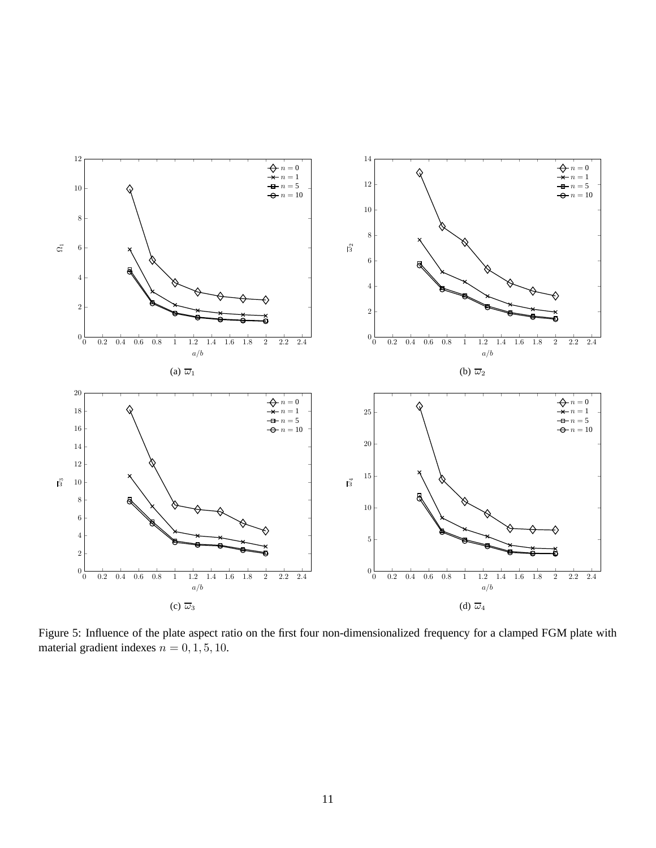

Figure 5: Influence of the plate aspect ratio on the first four non-dimensionalized frequency for a clamped FGM plate with material gradient indexes  $n = 0, 1, 5, 10$ .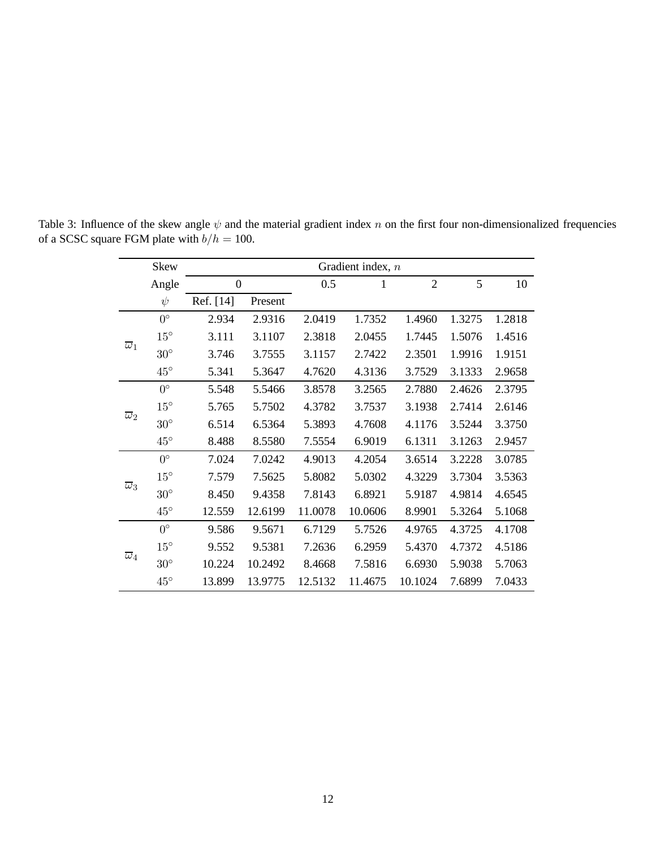|                       | <b>Skew</b>  | Gradient index, $n$ |         |         |         |                |        |        |  |
|-----------------------|--------------|---------------------|---------|---------|---------|----------------|--------|--------|--|
|                       | Angle        | $\boldsymbol{0}$    |         | 0.5     | 1       | $\overline{c}$ | 5      | 10     |  |
|                       | $\psi$       | Ref. [14]           | Present |         |         |                |        |        |  |
|                       | $0^{\circ}$  | 2.934               | 2.9316  | 2.0419  | 1.7352  | 1.4960         | 1.3275 | 1.2818 |  |
|                       | $15^{\circ}$ | 3.111               | 3.1107  | 2.3818  | 2.0455  | 1.7445         | 1.5076 | 1.4516 |  |
| $\overline{\omega}_1$ | $30^\circ$   | 3.746               | 3.7555  | 3.1157  | 2.7422  | 2.3501         | 1.9916 | 1.9151 |  |
|                       | $45^{\circ}$ | 5.341               | 5.3647  | 4.7620  | 4.3136  | 3.7529         | 3.1333 | 2.9658 |  |
|                       | $0^{\circ}$  | 5.548               | 5.5466  | 3.8578  | 3.2565  | 2.7880         | 2.4626 | 2.3795 |  |
| $\overline{\omega}_2$ | $15^{\circ}$ | 5.765               | 5.7502  | 4.3782  | 3.7537  | 3.1938         | 2.7414 | 2.6146 |  |
|                       | $30^{\circ}$ | 6.514               | 6.5364  | 5.3893  | 4.7608  | 4.1176         | 3.5244 | 3.3750 |  |
|                       | $45^{\circ}$ | 8.488               | 8.5580  | 7.5554  | 6.9019  | 6.1311         | 3.1263 | 2.9457 |  |
|                       | $0^{\circ}$  | 7.024               | 7.0242  | 4.9013  | 4.2054  | 3.6514         | 3.2228 | 3.0785 |  |
|                       | $15^{\circ}$ | 7.579               | 7.5625  | 5.8082  | 5.0302  | 4.3229         | 3.7304 | 3.5363 |  |
| $\overline{\omega}_3$ | $30^{\circ}$ | 8.450               | 9.4358  | 7.8143  | 6.8921  | 5.9187         | 4.9814 | 4.6545 |  |
|                       | $45^{\circ}$ | 12.559              | 12.6199 | 11.0078 | 10.0606 | 8.9901         | 5.3264 | 5.1068 |  |
|                       | $0^{\circ}$  | 9.586               | 9.5671  | 6.7129  | 5.7526  | 4.9765         | 4.3725 | 4.1708 |  |
|                       | $15^{\circ}$ | 9.552               | 9.5381  | 7.2636  | 6.2959  | 5.4370         | 4.7372 | 4.5186 |  |
| $\overline{\omega}_4$ | $30^{\circ}$ | 10.224              | 10.2492 | 8.4668  | 7.5816  | 6.6930         | 5.9038 | 5.7063 |  |
|                       | $45^{\circ}$ | 13.899              | 13.9775 | 12.5132 | 11.4675 | 10.1024        | 7.6899 | 7.0433 |  |

Table 3: Influence of the skew angle  $\psi$  and the material gradient index n on the first four non-dimensionalized frequencies of a SCSC square FGM plate with  $b/h = 100$ .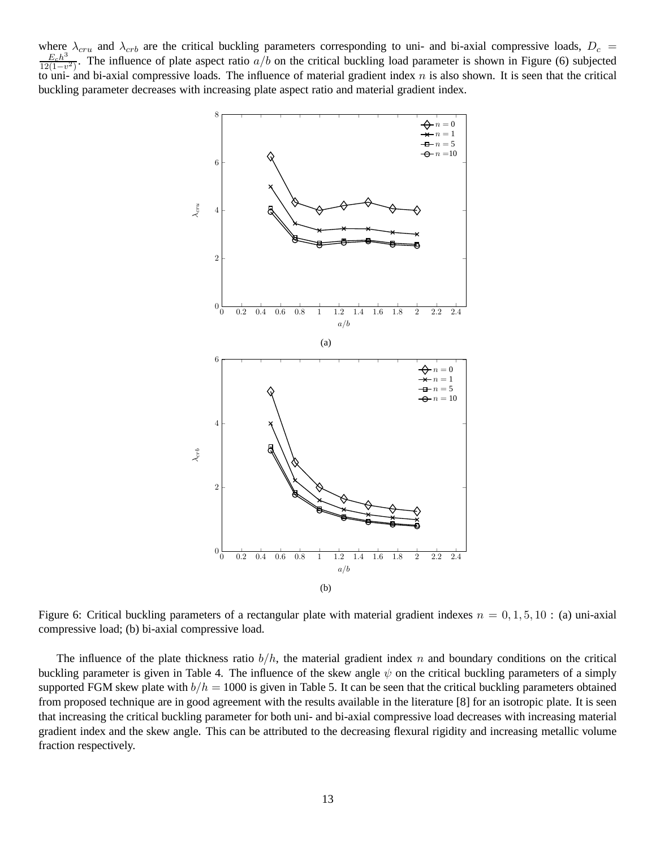where  $\lambda_{cru}$  and  $\lambda_{crb}$  are the critical buckling parameters corresponding to uni- and bi-axial compressive loads,  $D_c =$  $\frac{E_c h^3}{12(1-v^2)}$ . The influence of plate aspect ratio  $a/b$  on the critical buckling load parameter is shown in Figure (6) subjected to uni- and bi-axial compressive loads. The influence of material gradient index  $n$  is also shown. It is seen that the critical buckling parameter decreases with increasing plate aspect ratio and material gradient index.



Figure 6: Critical buckling parameters of a rectangular plate with material gradient indexes  $n = 0, 1, 5, 10$ : (a) uni-axial compressive load; (b) bi-axial compressive load.

The influence of the plate thickness ratio  $b/h$ , the material gradient index n and boundary conditions on the critical buckling parameter is given in Table 4. The influence of the skew angle  $\psi$  on the critical buckling parameters of a simply supported FGM skew plate with  $b/h = 1000$  is given in Table 5. It can be seen that the critical buckling parameters obtained from proposed technique are in good agreement with the results available in the literature [8] for an isotropic plate. It is seen that increasing the critical buckling parameter for both uni- and bi-axial compressive load decreases with increasing material gradient index and the skew angle. This can be attributed to the decreasing flexural rigidity and increasing metallic volume fraction respectively.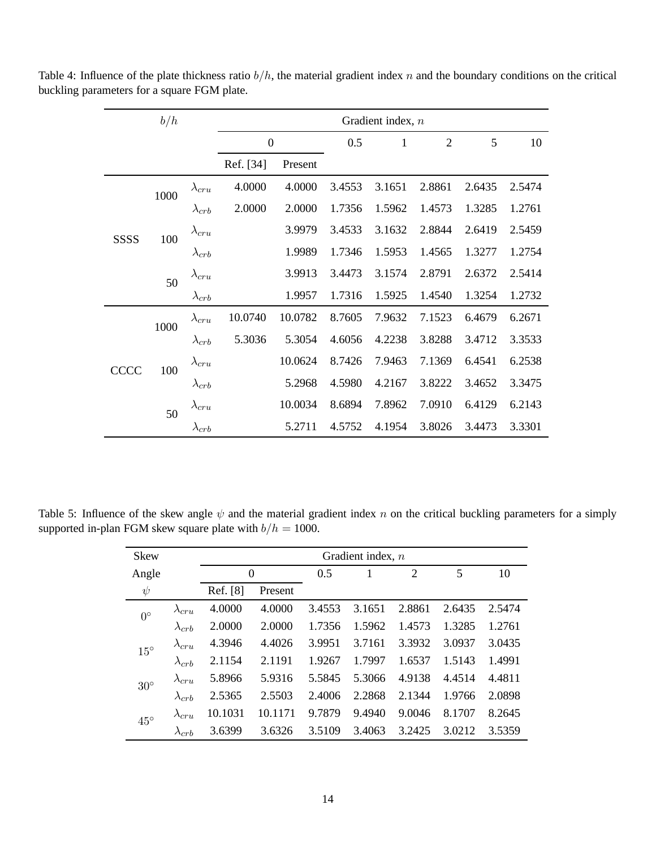|             | b/h  |                 | Gradient index, $n$ |         |        |        |                |        |        |  |
|-------------|------|-----------------|---------------------|---------|--------|--------|----------------|--------|--------|--|
|             |      |                 | $\boldsymbol{0}$    |         | 0.5    | 1      | $\overline{2}$ | 5      | 10     |  |
|             |      |                 | Ref. [34]           | Present |        |        |                |        |        |  |
|             | 1000 | $\lambda_{cru}$ | 4.0000              | 4.0000  | 3.4553 | 3.1651 | 2.8861         | 2.6435 | 2.5474 |  |
|             |      | $\lambda_{crb}$ | 2.0000              | 2.0000  | 1.7356 | 1.5962 | 1.4573         | 1.3285 | 1.2761 |  |
| <b>SSSS</b> | 100  | $\lambda_{cru}$ |                     | 3.9979  | 3.4533 | 3.1632 | 2.8844         | 2.6419 | 2.5459 |  |
|             |      | $\lambda_{crb}$ |                     | 1.9989  | 1.7346 | 1.5953 | 1.4565         | 1.3277 | 1.2754 |  |
|             | 50   | $\lambda_{cru}$ |                     | 3.9913  | 3.4473 | 3.1574 | 2.8791         | 2.6372 | 2.5414 |  |
|             |      | $\lambda_{crb}$ |                     | 1.9957  | 1.7316 | 1.5925 | 1.4540         | 1.3254 | 1.2732 |  |
|             | 1000 | $\lambda_{cru}$ | 10.0740             | 10.0782 | 8.7605 | 7.9632 | 7.1523         | 6.4679 | 6.2671 |  |
|             |      | $\lambda_{crb}$ | 5.3036              | 5.3054  | 4.6056 | 4.2238 | 3.8288         | 3.4712 | 3.3533 |  |
| <b>CCCC</b> | 100  | $\lambda_{cru}$ |                     | 10.0624 | 8.7426 | 7.9463 | 7.1369         | 6.4541 | 6.2538 |  |
|             |      | $\lambda_{crb}$ |                     | 5.2968  | 4.5980 | 4.2167 | 3.8222         | 3.4652 | 3.3475 |  |
|             | 50   | $\lambda_{cru}$ |                     | 10.0034 | 8.6894 | 7.8962 | 7.0910         | 6.4129 | 6.2143 |  |
|             |      | $\lambda_{crb}$ |                     | 5.2711  | 4.5752 | 4.1954 | 3.8026         | 3.4473 | 3.3301 |  |

Table 4: Influence of the plate thickness ratio  $b/h$ , the material gradient index n and the boundary conditions on the critical buckling parameters for a square FGM plate.

Table 5: Influence of the skew angle  $\psi$  and the material gradient index n on the critical buckling parameters for a simply supported in-plan FGM skew square plate with  $b/h = 1000$ .

| <b>Skew</b>  |                 |                |         | Gradient index, $n$ |        |                |        |        |
|--------------|-----------------|----------------|---------|---------------------|--------|----------------|--------|--------|
| Angle        |                 | $\overline{0}$ |         | 0.5                 | 1      | $\overline{2}$ | 5      | 10     |
| $\psi$       |                 | Ref. [8]       | Present |                     |        |                |        |        |
| $0^{\circ}$  | $\lambda_{cru}$ | 4.0000         | 4.0000  | 3.4553              | 3.1651 | 2.8861         | 2.6435 | 2.5474 |
|              | $\lambda_{crb}$ | 2.0000         | 2.0000  | 1.7356              | 1.5962 | 1.4573         | 1.3285 | 1.2761 |
| $15^{\circ}$ | $\lambda_{cru}$ | 4.3946         | 4.4026  | 3.9951              | 3.7161 | 3.3932         | 3.0937 | 3.0435 |
|              | $\lambda_{crb}$ | 2.1154         | 2.1191  | 1.9267              | 1.7997 | 1.6537         | 1.5143 | 1.4991 |
| $30^\circ$   | $\lambda_{cru}$ | 5.8966         | 5.9316  | 5.5845              | 5.3066 | 4.9138         | 4.4514 | 4.4811 |
|              | $\lambda_{crb}$ | 2.5365         | 2.5503  | 2.4006              | 2.2868 | 2.1344         | 1.9766 | 2.0898 |
| $45^{\circ}$ | $\lambda_{cru}$ | 10.1031        | 10.1171 | 9.7879              | 9.4940 | 9.0046         | 8.1707 | 8.2645 |
|              | $\lambda_{crb}$ | 3.6399         | 3.6326  | 3.5109              | 3.4063 | 3.2425         | 3.0212 | 3.5359 |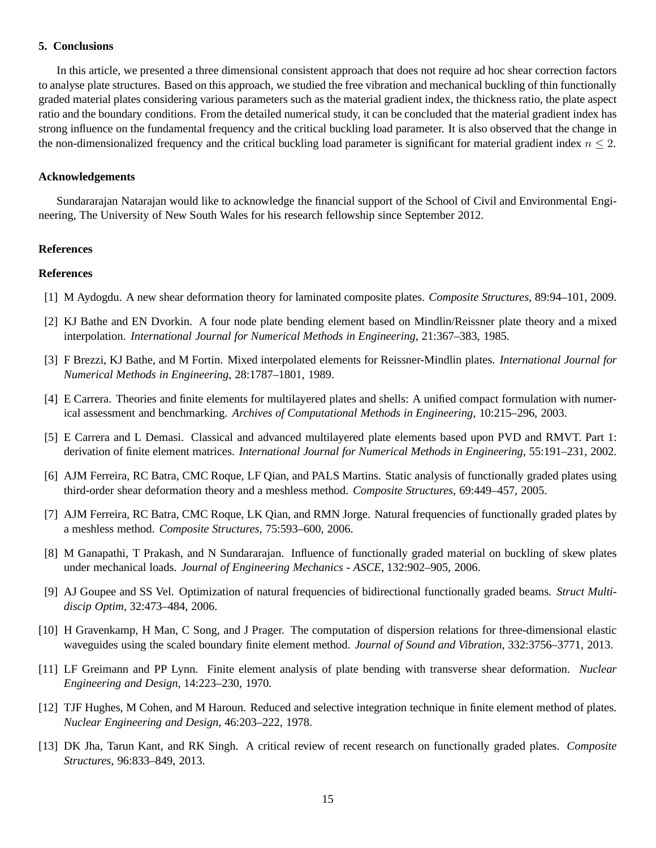## **5. Conclusions**

In this article, we presented a three dimensional consistent approach that does not require ad hoc shear correction factors to analyse plate structures. Based on this approach, we studied the free vibration and mechanical buckling of thin functionally graded material plates considering various parameters such as the material gradient index, the thickness ratio, the plate aspect ratio and the boundary conditions. From the detailed numerical study, it can be concluded that the material gradient index has strong influence on the fundamental frequency and the critical buckling load parameter. It is also observed that the change in the non-dimensionalized frequency and the critical buckling load parameter is significant for material gradient index  $n \leq 2$ .

### **Acknowledgements**

Sundararajan Natarajan would like to acknowledge the financial support of the School of Civil and Environmental Engineering, The University of New South Wales for his research fellowship since September 2012.

#### **References**

#### **References**

- [1] M Aydogdu. A new shear deformation theory for laminated composite plates. *Composite Structures*, 89:94–101, 2009.
- [2] KJ Bathe and EN Dvorkin. A four node plate bending element based on Mindlin/Reissner plate theory and a mixed interpolation. *International Journal for Numerical Methods in Engineering*, 21:367–383, 1985.
- [3] F Brezzi, KJ Bathe, and M Fortin. Mixed interpolated elements for Reissner-Mindlin plates. *International Journal for Numerical Methods in Engineering*, 28:1787–1801, 1989.
- [4] E Carrera. Theories and finite elements for multilayered plates and shells: A unified compact formulation with numerical assessment and benchmarking. *Archives of Computational Methods in Engineering*, 10:215–296, 2003.
- [5] E Carrera and L Demasi. Classical and advanced multilayered plate elements based upon PVD and RMVT. Part 1: derivation of finite element matrices. *International Journal for Numerical Methods in Engineering*, 55:191–231, 2002.
- [6] AJM Ferreira, RC Batra, CMC Roque, LF Qian, and PALS Martins. Static analysis of functionally graded plates using third-order shear deformation theory and a meshless method. *Composite Structures*, 69:449–457, 2005.
- [7] AJM Ferreira, RC Batra, CMC Roque, LK Qian, and RMN Jorge. Natural frequencies of functionally graded plates by a meshless method. *Composite Structures*, 75:593–600, 2006.
- [8] M Ganapathi, T Prakash, and N Sundararajan. Influence of functionally graded material on buckling of skew plates under mechanical loads. *Journal of Engineering Mechanics - ASCE*, 132:902–905, 2006.
- [9] AJ Goupee and SS Vel. Optimization of natural frequencies of bidirectional functionally graded beams. *Struct Multidiscip Optim*, 32:473–484, 2006.
- [10] H Gravenkamp, H Man, C Song, and J Prager. The computation of dispersion relations for three-dimensional elastic waveguides using the scaled boundary finite element method. *Journal of Sound and Vibration*, 332:3756–3771, 2013.
- [11] LF Greimann and PP Lynn. Finite element analysis of plate bending with transverse shear deformation. *Nuclear Engineering and Design*, 14:223–230, 1970.
- [12] TJF Hughes, M Cohen, and M Haroun. Reduced and selective integration technique in finite element method of plates. *Nuclear Engineering and Design*, 46:203–222, 1978.
- [13] DK Jha, Tarun Kant, and RK Singh. A critical review of recent research on functionally graded plates. *Composite Structures*, 96:833–849, 2013.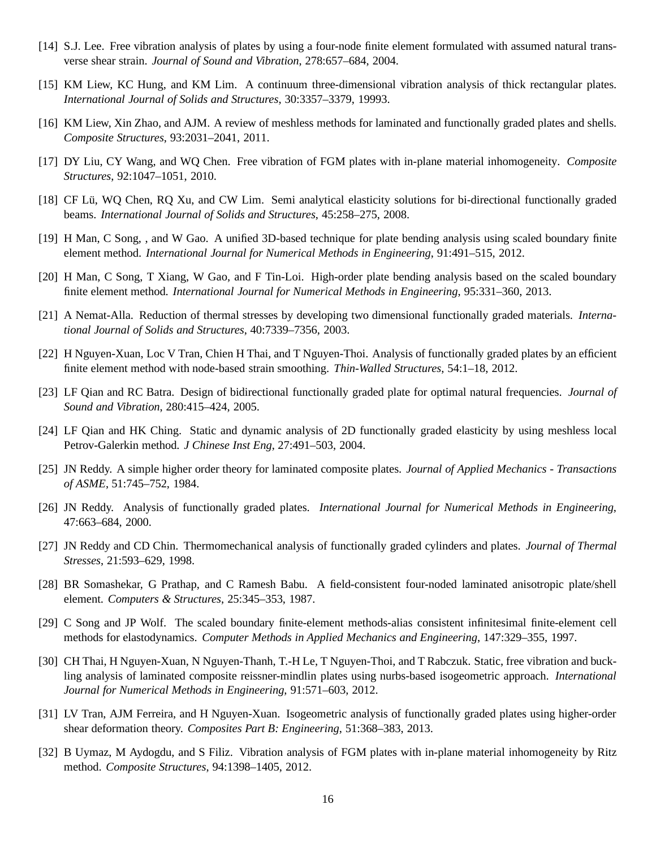- [14] S.J. Lee. Free vibration analysis of plates by using a four-node finite element formulated with assumed natural transverse shear strain. *Journal of Sound and Vibration*, 278:657–684, 2004.
- [15] KM Liew, KC Hung, and KM Lim. A continuum three-dimensional vibration analysis of thick rectangular plates. *International Journal of Solids and Structures*, 30:3357–3379, 19993.
- [16] KM Liew, Xin Zhao, and AJM. A review of meshless methods for laminated and functionally graded plates and shells. *Composite Structures*, 93:2031–2041, 2011.
- [17] DY Liu, CY Wang, and WQ Chen. Free vibration of FGM plates with in-plane material inhomogeneity. *Composite Structures*, 92:1047–1051, 2010.
- [18] CF Lü, WQ Chen, RQ Xu, and CW Lim. Semi analytical elasticity solutions for bi-directional functionally graded beams. *International Journal of Solids and Structures*, 45:258–275, 2008.
- [19] H Man, C Song, , and W Gao. A unified 3D-based technique for plate bending analysis using scaled boundary finite element method. *International Journal for Numerical Methods in Engineering*, 91:491–515, 2012.
- [20] H Man, C Song, T Xiang, W Gao, and F Tin-Loi. High-order plate bending analysis based on the scaled boundary finite element method. *International Journal for Numerical Methods in Engineering*, 95:331–360, 2013.
- [21] A Nemat-Alla. Reduction of thermal stresses by developing two dimensional functionally graded materials. *International Journal of Solids and Structures*, 40:7339–7356, 2003.
- [22] H Nguyen-Xuan, Loc V Tran, Chien H Thai, and T Nguyen-Thoi. Analysis of functionally graded plates by an efficient finite element method with node-based strain smoothing. *Thin-Walled Structures*, 54:1–18, 2012.
- [23] LF Qian and RC Batra. Design of bidirectional functionally graded plate for optimal natural frequencies. *Journal of Sound and Vibration*, 280:415–424, 2005.
- [24] LF Qian and HK Ching. Static and dynamic analysis of 2D functionally graded elasticity by using meshless local Petrov-Galerkin method. *J Chinese Inst Eng*, 27:491–503, 2004.
- [25] JN Reddy. A simple higher order theory for laminated composite plates. *Journal of Applied Mechanics Transactions of ASME*, 51:745–752, 1984.
- [26] JN Reddy. Analysis of functionally graded plates. *International Journal for Numerical Methods in Engineering*, 47:663–684, 2000.
- [27] JN Reddy and CD Chin. Thermomechanical analysis of functionally graded cylinders and plates. *Journal of Thermal Stresses*, 21:593–629, 1998.
- [28] BR Somashekar, G Prathap, and C Ramesh Babu. A field-consistent four-noded laminated anisotropic plate/shell element. *Computers & Structures*, 25:345–353, 1987.
- [29] C Song and JP Wolf. The scaled boundary finite-element methods-alias consistent infinitesimal finite-element cell methods for elastodynamics. *Computer Methods in Applied Mechanics and Engineering*, 147:329–355, 1997.
- [30] CH Thai, H Nguyen-Xuan, N Nguyen-Thanh, T.-H Le, T Nguyen-Thoi, and T Rabczuk. Static, free vibration and buckling analysis of laminated composite reissner-mindlin plates using nurbs-based isogeometric approach. *International Journal for Numerical Methods in Engineering*, 91:571–603, 2012.
- [31] LV Tran, AJM Ferreira, and H Nguyen-Xuan. Isogeometric analysis of functionally graded plates using higher-order shear deformation theory. *Composites Part B: Engineering*, 51:368–383, 2013.
- [32] B Uymaz, M Aydogdu, and S Filiz. Vibration analysis of FGM plates with in-plane material inhomogeneity by Ritz method. *Composite Structures*, 94:1398–1405, 2012.